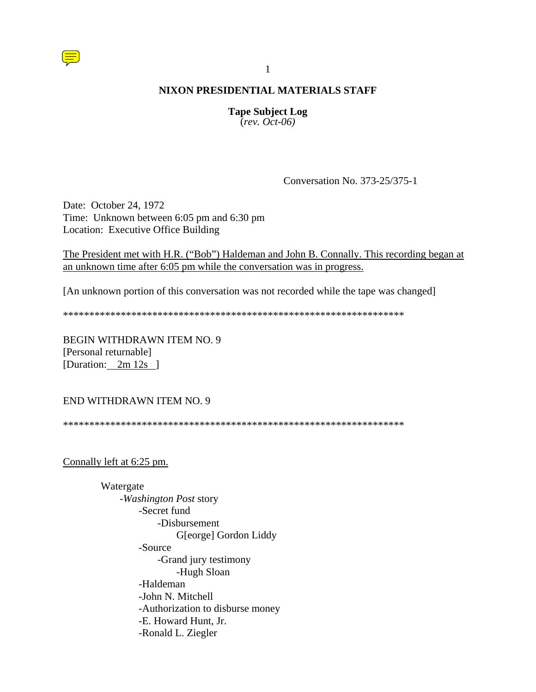

**Tape Subject Log** (*rev. Oct-06)*

Conversation No. 373-25/375-1

Date: October 24, 1972 Time: Unknown between 6:05 pm and 6:30 pm Location: Executive Office Building

The President met with H.R. ("Bob") Haldeman and John B. Connally. This recording began at an unknown time after 6:05 pm while the conversation was in progress.

[An unknown portion of this conversation was not recorded while the tape was changed]

\*\*\*\*\*\*\*\*\*\*\*\*\*\*\*\*\*\*\*\*\*\*\*\*\*\*\*\*\*\*\*\*\*\*\*\*\*\*\*\*\*\*\*\*\*\*\*\*\*\*\*\*\*\*\*\*\*\*\*\*\*\*\*\*\*

BEGIN WITHDRAWN ITEM NO. 9 [Personal returnable] [Duration: 2m 12s ]

END WITHDRAWN ITEM NO. 9

\*\*\*\*\*\*\*\*\*\*\*\*\*\*\*\*\*\*\*\*\*\*\*\*\*\*\*\*\*\*\*\*\*\*\*\*\*\*\*\*\*\*\*\*\*\*\*\*\*\*\*\*\*\*\*\*\*\*\*\*\*\*\*\*\*

Connally left at 6:25 pm.

Watergate -*Washington Post* story -Secret fund -Disbursement G[eorge] Gordon Liddy -Source -Grand jury testimony -Hugh Sloan -Haldeman -John N. Mitchell -Authorization to disburse money -E. Howard Hunt, Jr. -Ronald L. Ziegler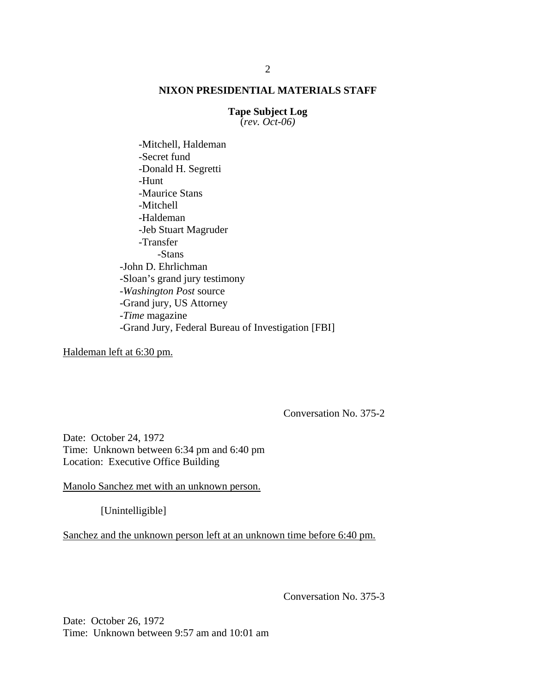**Tape Subject Log** (*rev. Oct-06)*

-Mitchell, Haldeman -Secret fund -Donald H. Segretti -Hunt -Maurice Stans -Mitchell -Haldeman -Jeb Stuart Magruder -Transfer -Stans -John D. Ehrlichman -Sloan's grand jury testimony -*Washington Post* source -Grand jury, US Attorney -*Time* magazine -Grand Jury, Federal Bureau of Investigation [FBI]

Haldeman left at 6:30 pm.

Conversation No. 375-2

Date: October 24, 1972 Time: Unknown between 6:34 pm and 6:40 pm Location: Executive Office Building

Manolo Sanchez met with an unknown person.

[Unintelligible]

Sanchez and the unknown person left at an unknown time before 6:40 pm.

Conversation No. 375-3

Date: October 26, 1972 Time: Unknown between 9:57 am and 10:01 am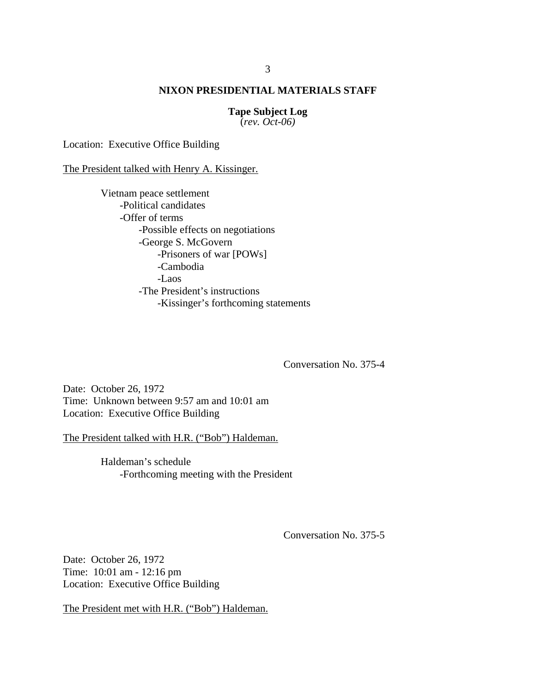**Tape Subject Log** (*rev. Oct-06)*

Location: Executive Office Building

The President talked with Henry A. Kissinger.

Vietnam peace settlement -Political candidates -Offer of terms -Possible effects on negotiations -George S. McGovern -Prisoners of war [POWs] -Cambodia -Laos -The President's instructions -Kissinger's forthcoming statements

Conversation No. 375-4

Date: October 26, 1972 Time: Unknown between 9:57 am and 10:01 am Location: Executive Office Building

The President talked with H.R. ("Bob") Haldeman.

Haldeman's schedule -Forthcoming meeting with the President

Conversation No. 375-5

Date: October 26, 1972 Time: 10:01 am - 12:16 pm Location: Executive Office Building

The President met with H.R. ("Bob") Haldeman.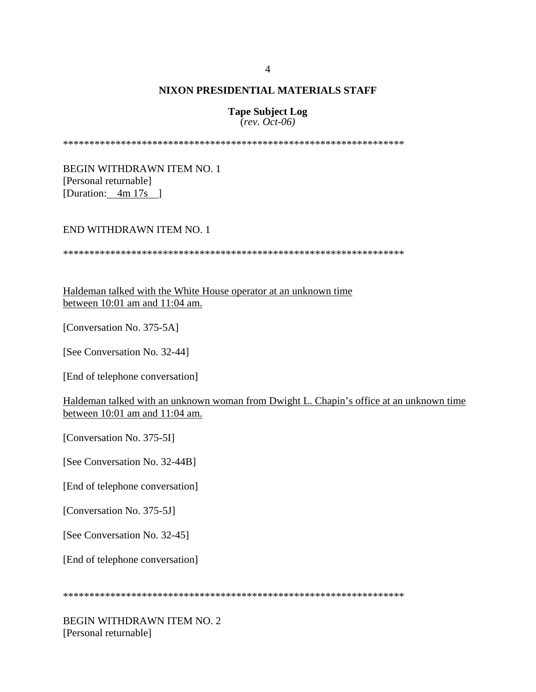**Tape Subject Log**  $\overline{(rev. Oct-06)}$ 

**BEGIN WITHDRAWN ITEM NO. 1** [Personal returnable] [Duration: 4m 17s ]

END WITHDRAWN ITEM NO. 1

Haldeman talked with the White House operator at an unknown time between 10:01 am and 11:04 am.

[Conversation No. 375-5A]

[See Conversation No. 32-44]

[End of telephone conversation]

Haldeman talked with an unknown woman from Dwight L. Chapin's office at an unknown time between 10:01 am and 11:04 am.

[Conversation No. 375-5I]

[See Conversation No. 32-44B]

[End of telephone conversation]

[Conversation No. 375-5J]

[See Conversation No. 32-45]

[End of telephone conversation]

BEGIN WITHDRAWN ITEM NO. 2 [Personal returnable]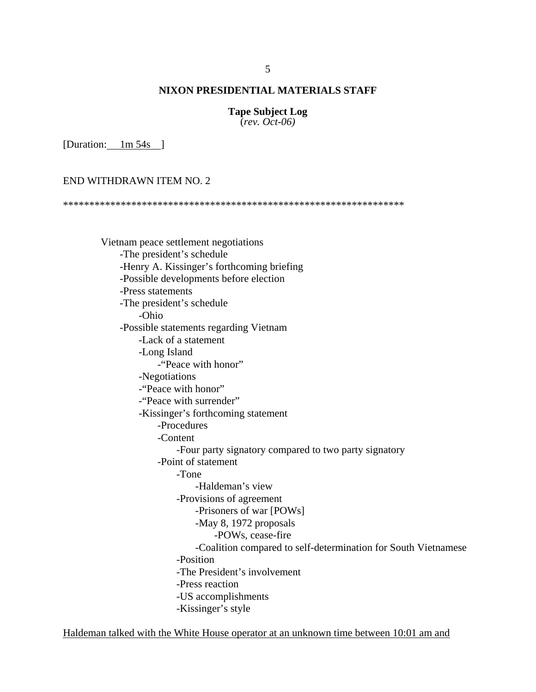#### 5

#### **NIXON PRESIDENTIAL MATERIALS STAFF**

**Tape Subject Log** (*rev. Oct-06)*

[Duration: 1m 54s ]

END WITHDRAWN ITEM NO. 2

\*\*\*\*\*\*\*\*\*\*\*\*\*\*\*\*\*\*\*\*\*\*\*\*\*\*\*\*\*\*\*\*\*\*\*\*\*\*\*\*\*\*\*\*\*\*\*\*\*\*\*\*\*\*\*\*\*\*\*\*\*\*\*\*\*

Vietnam peace settlement negotiations -The president's schedule -Henry A. Kissinger's forthcoming briefing -Possible developments before election -Press statements -The president's schedule -Ohio -Possible statements regarding Vietnam -Lack of a statement -Long Island -"Peace with honor" -Negotiations -"Peace with honor" -"Peace with surrender" -Kissinger's forthcoming statement -Procedures -Content -Four party signatory compared to two party signatory -Point of statement -Tone -Haldeman's view -Provisions of agreement -Prisoners of war [POWs] -May 8, 1972 proposals -POWs, cease-fire -Coalition compared to self-determination for South Vietnamese -Position -The President's involvement -Press reaction -US accomplishments -Kissinger's style

Haldeman talked with the White House operator at an unknown time between 10:01 am and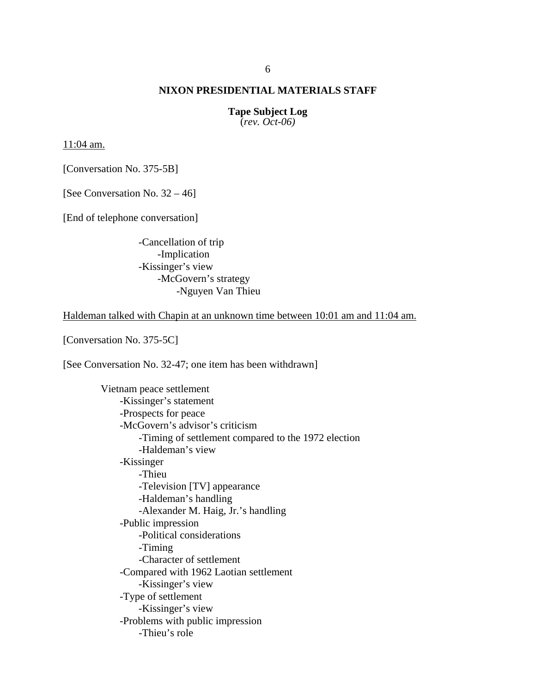**Tape Subject Log** (*rev. Oct-06)*

11:04 am.

[Conversation No. 375-5B]

[See Conversation No. 32 – 46]

[End of telephone conversation]

-Cancellation of trip -Implication -Kissinger's view -McGovern's strategy -Nguyen Van Thieu

Haldeman talked with Chapin at an unknown time between 10:01 am and 11:04 am.

[Conversation No. 375-5C]

[See Conversation No. 32-47; one item has been withdrawn]

Vietnam peace settlement -Kissinger's statement -Prospects for peace -McGovern's advisor's criticism -Timing of settlement compared to the 1972 election -Haldeman's view -Kissinger -Thieu -Television [TV] appearance -Haldeman's handling -Alexander M. Haig, Jr.'s handling -Public impression -Political considerations -Timing -Character of settlement -Compared with 1962 Laotian settlement -Kissinger's view -Type of settlement -Kissinger's view -Problems with public impression -Thieu's role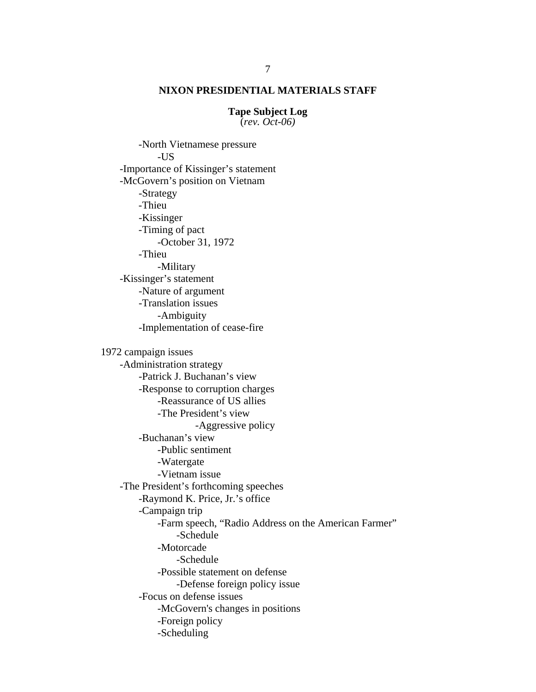**Tape Subject Log** (*rev. Oct-06)*

 -North Vietnamese pressure -US -Importance of Kissinger's statement -McGovern's position on Vietnam -Strategy -Thieu -Kissinger -Timing of pact -October 31, 1972 -Thieu -Military -Kissinger's statement -Nature of argument -Translation issues -Ambiguity -Implementation of cease-fire 1972 campaign issues -Administration strategy -Patrick J. Buchanan's view -Response to corruption charges -Reassurance of US allies -The President's view -Aggressive policy -Buchanan's view -Public sentiment -Watergate -Vietnam issue -The President's forthcoming speeches -Raymond K. Price, Jr.'s office -Campaign trip -Farm speech, "Radio Address on the American Farmer" -Schedule -Motorcade -Schedule -Possible statement on defense -Defense foreign policy issue -Focus on defense issues -McGovern's changes in positions -Foreign policy -Scheduling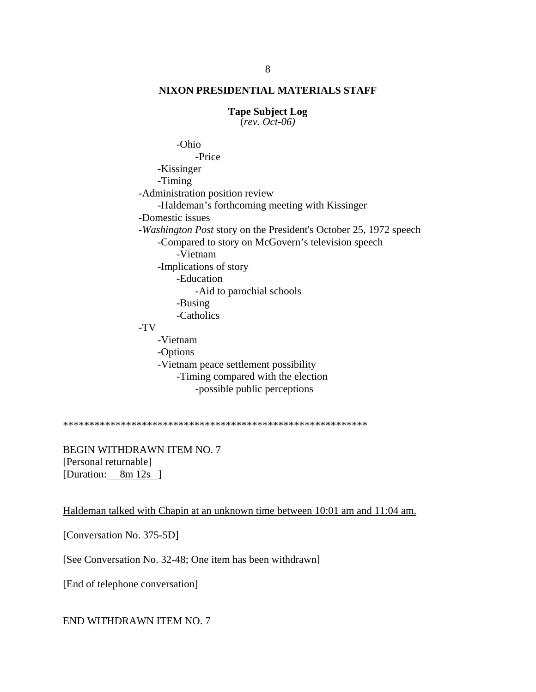**Tape Subject Log**

(*rev. Oct-06)*

-Ohio -Price -Kissinger -Timing -Administration position review -Haldeman's forthcoming meeting with Kissinger -Domestic issues -*Washington Post* story on the President's October 25, 1972 speech -Compared to story on McGovern's television speech -Vietnam -Implications of story -Education -Aid to parochial schools -Busing -Catholics -TV -Vietnam -Options -Vietnam peace settlement possibility -Timing compared with the election -possible public perceptions

\*\*\*\*\*\*\*\*\*\*\*\*\*\*\*\*\*\*\*\*\*\*\*\*\*\*\*\*\*\*\*\*\*\*\*\*\*\*\*\*\*\*\*\*\*\*\*\*\*\*\*\*\*\*\*\*\*\*

BEGIN WITHDRAWN ITEM NO. 7 [Personal returnable] [Duration: 8m 12s ]

Haldeman talked with Chapin at an unknown time between 10:01 am and 11:04 am.

[Conversation No. 375-5D]

[See Conversation No. 32-48; One item has been withdrawn]

[End of telephone conversation]

END WITHDRAWN ITEM NO. 7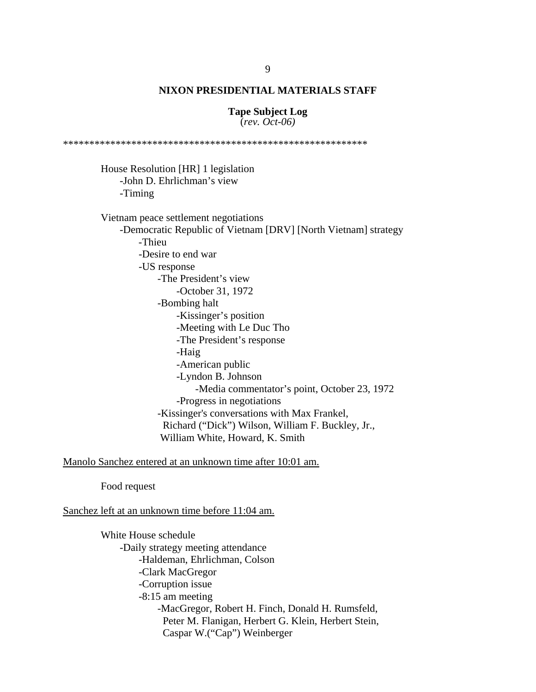**Tape Subject Log** (*rev. Oct-06)*

\*\*\*\*\*\*\*\*\*\*\*\*\*\*\*\*\*\*\*\*\*\*\*\*\*\*\*\*\*\*\*\*\*\*\*\*\*\*\*\*\*\*\*\*\*\*\*\*\*\*\*\*\*\*\*\*\*\* House Resolution [HR] 1 legislation -John D. Ehrlichman's view -Timing Vietnam peace settlement negotiations -Democratic Republic of Vietnam [DRV] [North Vietnam] strategy -Thieu -Desire to end war -US response -The President's view -October 31, 1972 -Bombing halt -Kissinger's position -Meeting with Le Duc Tho -The President's response -Haig -American public -Lyndon B. Johnson -Media commentator's point, October 23, 1972 -Progress in negotiations -Kissinger's conversations with Max Frankel, Richard ("Dick") Wilson, William F. Buckley, Jr., William White, Howard, K. Smith Manolo Sanchez entered at an unknown time after 10:01 am. Food request

## Sanchez left at an unknown time before 11:04 am.

White House schedule -Daily strategy meeting attendance -Haldeman, Ehrlichman, Colson -Clark MacGregor -Corruption issue -8:15 am meeting -MacGregor, Robert H. Finch, Donald H. Rumsfeld, Peter M. Flanigan, Herbert G. Klein, Herbert Stein, Caspar W.("Cap") Weinberger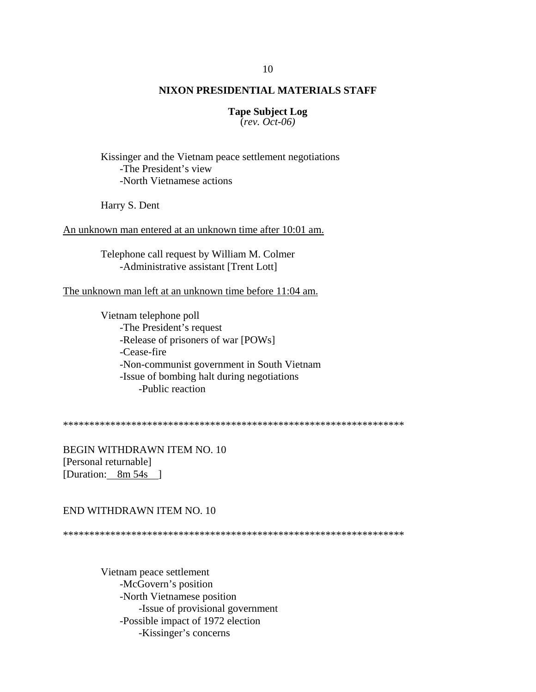**Tape Subject Log**  $\overline{(rev. Oct-06)}$ 

Kissinger and the Vietnam peace settlement negotiations -The President's view -North Vietnamese actions

Harry S. Dent

An unknown man entered at an unknown time after 10:01 am.

Telephone call request by William M. Colmer -Administrative assistant [Trent Lott]

The unknown man left at an unknown time before 11:04 am.

Vietnam telephone poll -The President's request -Release of prisoners of war [POWs] -Cease-fire -Non-communist government in South Vietnam -Issue of bombing halt during negotiations -Public reaction

**BEGIN WITHDRAWN ITEM NO. 10** [Personal returnable] [Duration:  $8m 54s$ ]

## END WITHDRAWN ITEM NO. 10

Vietnam peace settlement -McGovern's position -North Vietnamese position -Issue of provisional government -Possible impact of 1972 election -Kissinger's concerns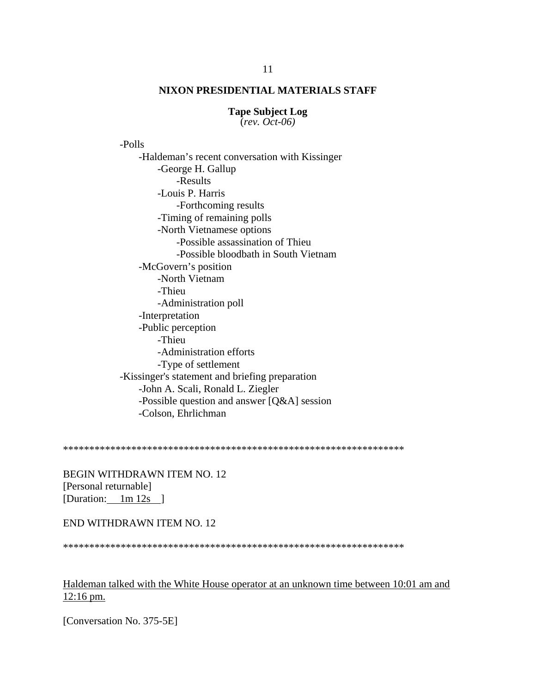**Tape Subject Log**  $\overline{(rev. Oct-06)}$ 

-Polls

-Haldeman's recent conversation with Kissinger -George H. Gallup -Results -Louis P. Harris -Forthcoming results -Timing of remaining polls -North Vietnamese options -Possible assassination of Thieu -Possible bloodbath in South Vietnam -McGovern's position -North Vietnam -Thieu -Administration poll -Interpretation -Public perception -Thieu -Administration efforts -Type of settlement -Kissinger's statement and briefing preparation -John A. Scali, Ronald L. Ziegler -Possible question and answer  $[Q&A]$  session -Colson, Ehrlichman

**BEGIN WITHDRAWN ITEM NO. 12** [Personal returnable] [Duration: 1m 12s ]

**END WITHDRAWN ITEM NO. 12** 

Haldeman talked with the White House operator at an unknown time between 10:01 am and  $12:16$  pm.

[Conversation No. 375-5E]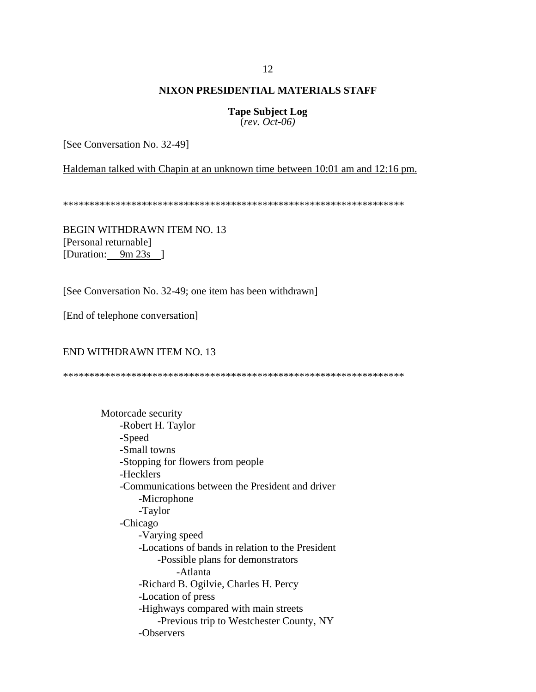**Tape Subject Log** (*rev. Oct-06)*

[See Conversation No. 32-49]

Haldeman talked with Chapin at an unknown time between 10:01 am and 12:16 pm.

\*\*\*\*\*\*\*\*\*\*\*\*\*\*\*\*\*\*\*\*\*\*\*\*\*\*\*\*\*\*\*\*\*\*\*\*\*\*\*\*\*\*\*\*\*\*\*\*\*\*\*\*\*\*\*\*\*\*\*\*\*\*\*\*\*

BEGIN WITHDRAWN ITEM NO. 13 [Personal returnable] [Duration: 9m 23s ]

[See Conversation No. 32-49; one item has been withdrawn]

[End of telephone conversation]

# END WITHDRAWN ITEM NO. 13

\*\*\*\*\*\*\*\*\*\*\*\*\*\*\*\*\*\*\*\*\*\*\*\*\*\*\*\*\*\*\*\*\*\*\*\*\*\*\*\*\*\*\*\*\*\*\*\*\*\*\*\*\*\*\*\*\*\*\*\*\*\*\*\*\*

Motorcade security -Robert H. Taylor -Speed -Small towns -Stopping for flowers from people -Hecklers -Communications between the President and driver -Microphone -Taylor -Chicago -Varying speed -Locations of bands in relation to the President -Possible plans for demonstrators -Atlanta -Richard B. Ogilvie, Charles H. Percy -Location of press -Highways compared with main streets -Previous trip to Westchester County, NY -Observers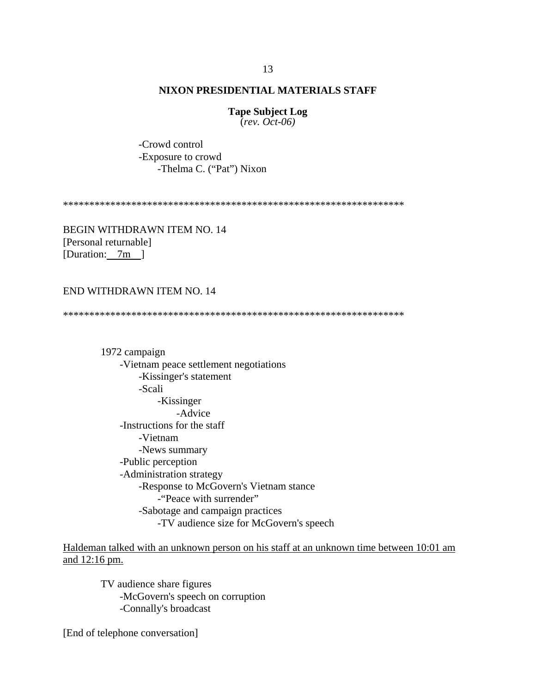**Tape Subject Log** (*rev. Oct-06)*

 -Crowd control -Exposure to crowd -Thelma C. ("Pat") Nixon

\*\*\*\*\*\*\*\*\*\*\*\*\*\*\*\*\*\*\*\*\*\*\*\*\*\*\*\*\*\*\*\*\*\*\*\*\*\*\*\*\*\*\*\*\*\*\*\*\*\*\*\*\*\*\*\*\*\*\*\*\*\*\*\*\*

BEGIN WITHDRAWN ITEM NO. 14 [Personal returnable] [Duration: 7m ]

#### END WITHDRAWN ITEM NO. 14

\*\*\*\*\*\*\*\*\*\*\*\*\*\*\*\*\*\*\*\*\*\*\*\*\*\*\*\*\*\*\*\*\*\*\*\*\*\*\*\*\*\*\*\*\*\*\*\*\*\*\*\*\*\*\*\*\*\*\*\*\*\*\*\*\*

1972 campaign -Vietnam peace settlement negotiations -Kissinger's statement -Scali -Kissinger -Advice -Instructions for the staff -Vietnam -News summary -Public perception -Administration strategy -Response to McGovern's Vietnam stance -"Peace with surrender" -Sabotage and campaign practices -TV audience size for McGovern's speech

Haldeman talked with an unknown person on his staff at an unknown time between 10:01 am and 12:16 pm.

TV audience share figures -McGovern's speech on corruption -Connally's broadcast

[End of telephone conversation]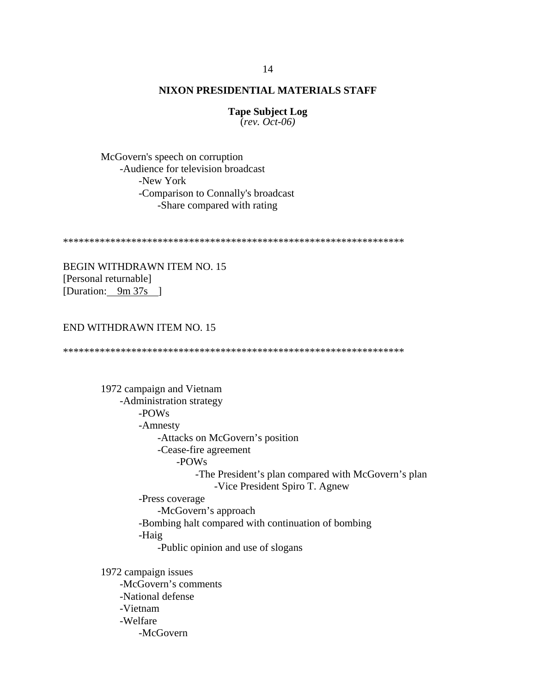**Tape Subject Log**  $\overline{(rev. Oct-06)}$ 

McGovern's speech on corruption -Audience for television broadcast -New York -Comparison to Connally's broadcast -Share compared with rating

**BEGIN WITHDRAWN ITEM NO. 15** [Personal returnable] [Duration:  $9m 37s$ ]

## END WITHDRAWN ITEM NO. 15

1972 campaign and Vietnam -Administration strategy  $-POWs$ -Amnesty -Attacks on McGovern's position -Cease-fire agreement  $-POWs$ -The President's plan compared with McGovern's plan -Vice President Spiro T. Agnew -Press coverage -McGovern's approach -Bombing halt compared with continuation of bombing -Haig -Public opinion and use of slogans 1972 campaign issues -McGovern's comments -National defense -Vietnam -Welfare -McGovern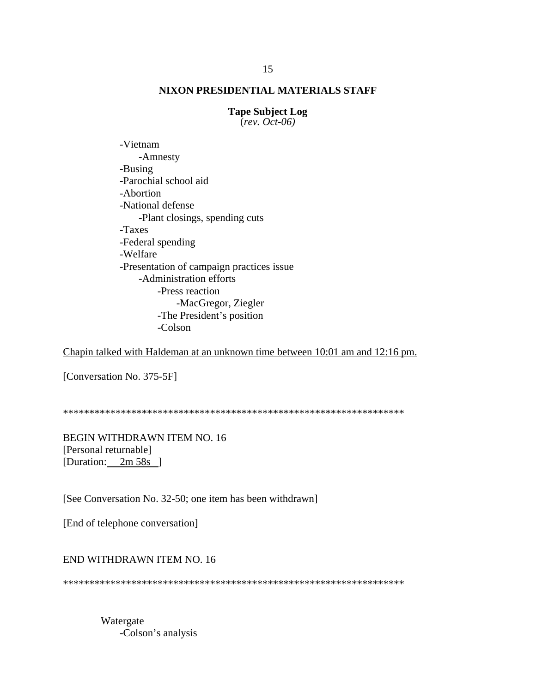**Tape Subject Log** (*rev. Oct-06)*

-Vietnam -Amnesty -Busing -Parochial school aid -Abortion -National defense -Plant closings, spending cuts -Taxes -Federal spending -Welfare -Presentation of campaign practices issue -Administration efforts -Press reaction -MacGregor, Ziegler -The President's position -Colson

Chapin talked with Haldeman at an unknown time between 10:01 am and 12:16 pm.

[Conversation No. 375-5F]

\*\*\*\*\*\*\*\*\*\*\*\*\*\*\*\*\*\*\*\*\*\*\*\*\*\*\*\*\*\*\*\*\*\*\*\*\*\*\*\*\*\*\*\*\*\*\*\*\*\*\*\*\*\*\*\*\*\*\*\*\*\*\*\*\*

BEGIN WITHDRAWN ITEM NO. 16 [Personal returnable] [Duration: 2m 58s ]

[See Conversation No. 32-50; one item has been withdrawn]

[End of telephone conversation]

# END WITHDRAWN ITEM NO. 16

\*\*\*\*\*\*\*\*\*\*\*\*\*\*\*\*\*\*\*\*\*\*\*\*\*\*\*\*\*\*\*\*\*\*\*\*\*\*\*\*\*\*\*\*\*\*\*\*\*\*\*\*\*\*\*\*\*\*\*\*\*\*\*\*\*

Watergate -Colson's analysis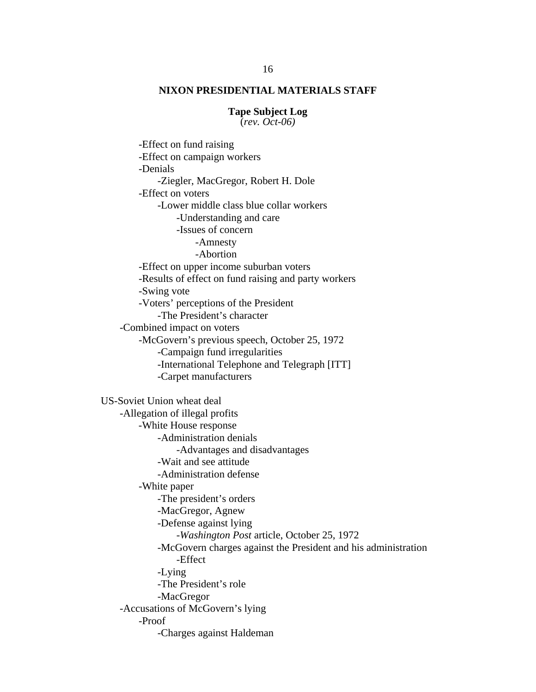## **Tape Subject Log**

(*rev. Oct-06)*

 -Effect on fund raising -Effect on campaign workers -Denials -Ziegler, MacGregor, Robert H. Dole -Effect on voters -Lower middle class blue collar workers -Understanding and care -Issues of concern -Amnesty -Abortion -Effect on upper income suburban voters -Results of effect on fund raising and party workers -Swing vote -Voters' perceptions of the President -The President's character -Combined impact on voters -McGovern's previous speech, October 25, 1972 -Campaign fund irregularities -International Telephone and Telegraph [ITT] -Carpet manufacturers US-Soviet Union wheat deal -Allegation of illegal profits -White House response -Administration denials -Advantages and disadvantages -Wait and see attitude -Administration defense -White paper -The president's orders -MacGregor, Agnew -Defense against lying -*Washington Post* article, October 25, 1972 -McGovern charges against the President and his administration -Effect -Lying -The President's role -MacGregor -Accusations of McGovern's lying -Proof -Charges against Haldeman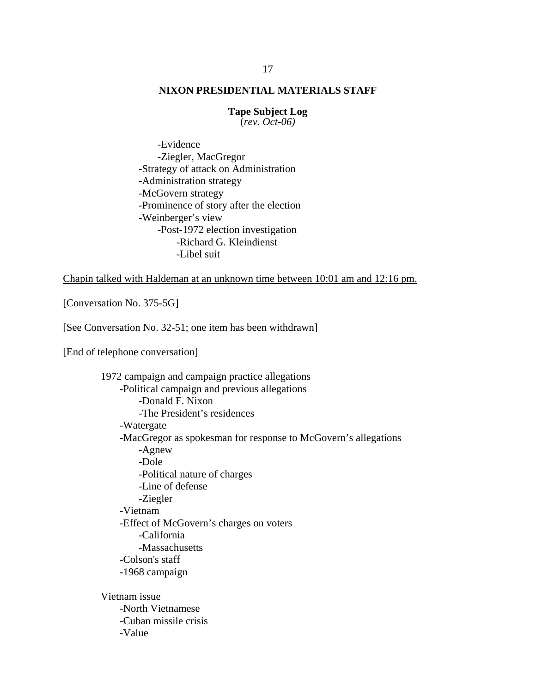# **Tape Subject Log**

(*rev. Oct-06)*

 -Evidence -Ziegler, MacGregor -Strategy of attack on Administration -Administration strategy -McGovern strategy -Prominence of story after the election -Weinberger's view -Post-1972 election investigation -Richard G. Kleindienst -Libel suit

Chapin talked with Haldeman at an unknown time between 10:01 am and 12:16 pm.

[Conversation No. 375-5G]

[See Conversation No. 32-51; one item has been withdrawn]

[End of telephone conversation]

1972 campaign and campaign practice allegations -Political campaign and previous allegations -Donald F. Nixon -The President's residences -Watergate -MacGregor as spokesman for response to McGovern's allegations -Agnew -Dole -Political nature of charges -Line of defense -Ziegler -Vietnam -Effect of McGovern's charges on voters -California -Massachusetts -Colson's staff -1968 campaign Vietnam issue

-North Vietnamese -Cuban missile crisis -Value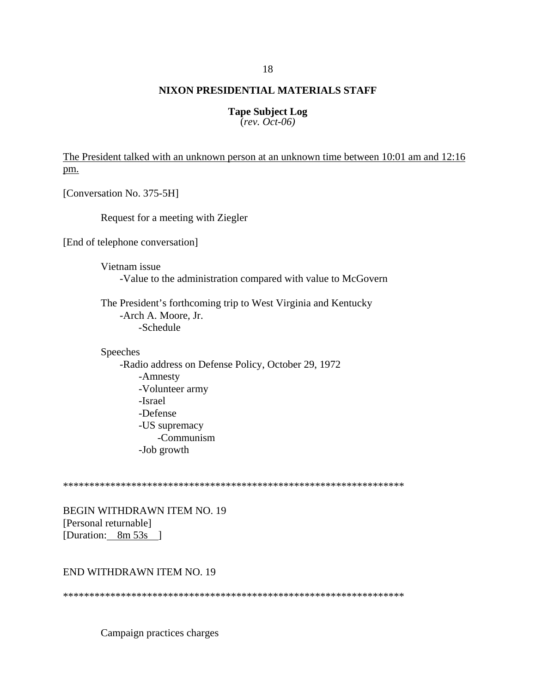**Tape Subject Log**  $\overline{(rev. Oct-06)}$ 

The President talked with an unknown person at an unknown time between 10:01 am and 12:16 pm.

[Conversation No. 375-5H]

Request for a meeting with Ziegler

[End of telephone conversation]

Vietnam issue -Value to the administration compared with value to McGovern

The President's forthcoming trip to West Virginia and Kentucky -Arch A. Moore, Jr. -Schedule

Speeches

-Radio address on Defense Policy, October 29, 1972 -Amnesty -Volunteer army -Israel -Defense -US supremacy -Communism -Job growth

**BEGIN WITHDRAWN ITEM NO. 19** [Personal returnable] [Duration: 8m 53s ]

## **END WITHDRAWN ITEM NO. 19**

Campaign practices charges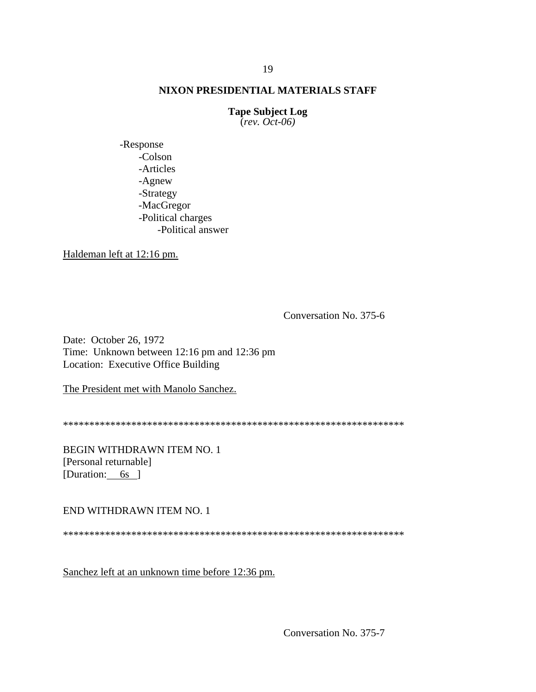**Tape Subject Log**  $(rev. Oct-06)$ 

-Response -Colson -Articles -Agnew -Strategy -MacGregor -Political charges -Political answer

Haldeman left at 12:16 pm.

Conversation No. 375-6

Date: October 26, 1972 Time: Unknown between 12:16 pm and 12:36 pm Location: Executive Office Building

The President met with Manolo Sanchez.

**BEGIN WITHDRAWN ITEM NO. 1** [Personal returnable] [Duration: 6s ]

END WITHDRAWN ITEM NO. 1

Sanchez left at an unknown time before 12:36 pm.

Conversation No. 375-7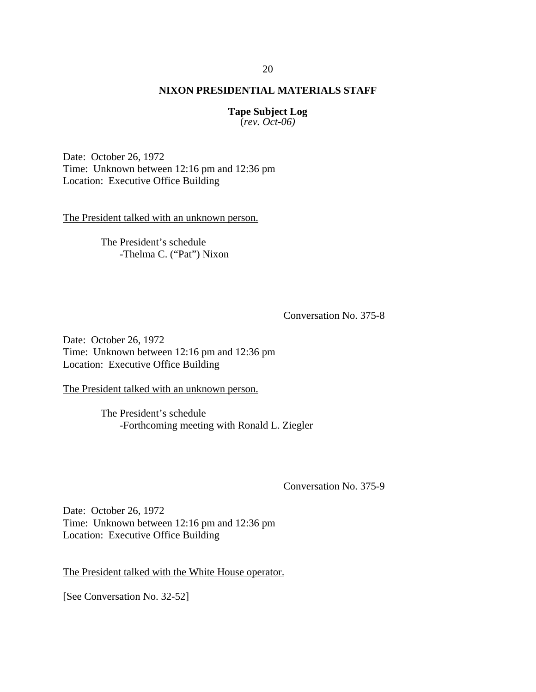**Tape Subject Log** (*rev. Oct-06)*

Date: October 26, 1972 Time: Unknown between 12:16 pm and 12:36 pm Location: Executive Office Building

The President talked with an unknown person.

The President's schedule -Thelma C. ("Pat") Nixon

Conversation No. 375-8

Date: October 26, 1972 Time: Unknown between 12:16 pm and 12:36 pm Location: Executive Office Building

The President talked with an unknown person.

The President's schedule -Forthcoming meeting with Ronald L. Ziegler

Conversation No. 375-9

Date: October 26, 1972 Time: Unknown between 12:16 pm and 12:36 pm Location: Executive Office Building

The President talked with the White House operator.

[See Conversation No. 32-52]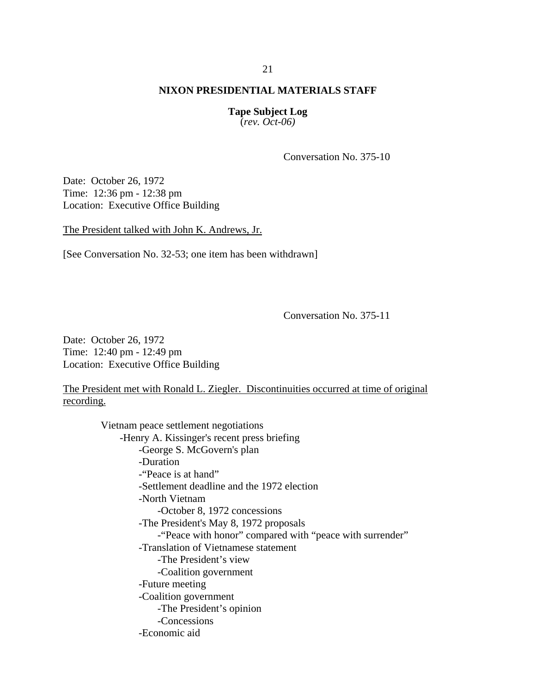**Tape Subject Log** (*rev. Oct-06)*

Conversation No. 375-10

Date: October 26, 1972 Time: 12:36 pm - 12:38 pm Location: Executive Office Building

The President talked with John K. Andrews, Jr.

[See Conversation No. 32-53; one item has been withdrawn]

Conversation No. 375-11

Date: October 26, 1972 Time: 12:40 pm - 12:49 pm Location: Executive Office Building

The President met with Ronald L. Ziegler. Discontinuities occurred at time of original recording.

> Vietnam peace settlement negotiations -Henry A. Kissinger's recent press briefing -George S. McGovern's plan -Duration -"Peace is at hand" -Settlement deadline and the 1972 election -North Vietnam -October 8, 1972 concessions -The President's May 8, 1972 proposals -"Peace with honor" compared with "peace with surrender" -Translation of Vietnamese statement -The President's view -Coalition government -Future meeting -Coalition government -The President's opinion -Concessions -Economic aid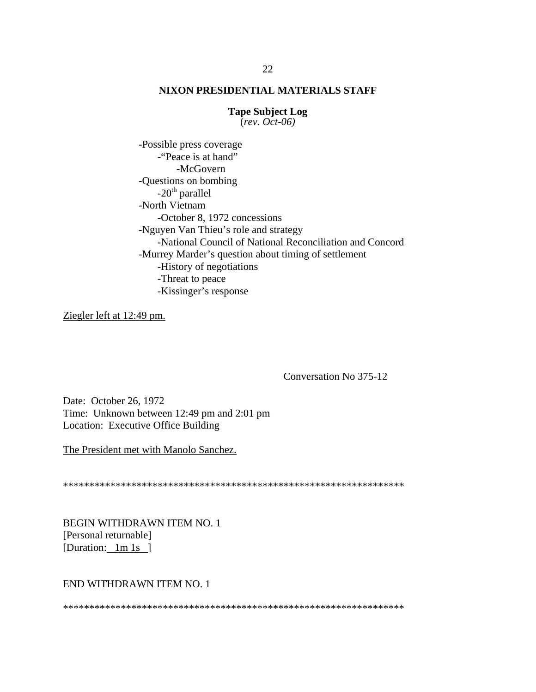**Tape Subject Log**  $\overline{(rev. Oct-06)}$ 

-Possible press coverage -"Peace is at hand" -McGovern -Questions on bombing  $-20<sup>th</sup>$  parallel -North Vietnam -October 8, 1972 concessions -Nguyen Van Thieu's role and strategy -National Council of National Reconciliation and Concord -Murrey Marder's question about timing of settlement -History of negotiations -Threat to peace -Kissinger's response

Ziegler left at 12:49 pm.

Conversation No 375-12

Date: October 26, 1972 Time: Unknown between 12:49 pm and 2:01 pm Location: Executive Office Building

The President met with Manolo Sanchez.

**BEGIN WITHDRAWN ITEM NO. 1** [Personal returnable] [Duration:  $1m 1s$ ]

## END WITHDRAWN ITEM NO. 1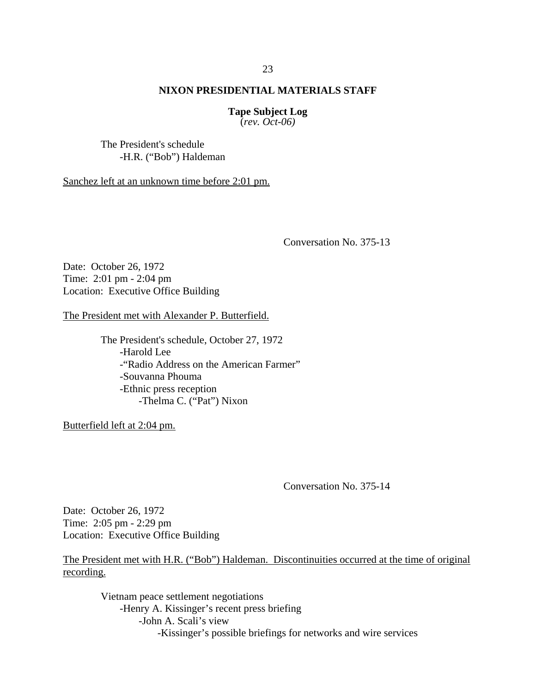**Tape Subject Log** (*rev. Oct-06)*

The President's schedule -H.R. ("Bob") Haldeman

Sanchez left at an unknown time before 2:01 pm.

Conversation No. 375-13

Date: October 26, 1972 Time: 2:01 pm - 2:04 pm Location: Executive Office Building

The President met with Alexander P. Butterfield.

The President's schedule, October 27, 1972 -Harold Lee -"Radio Address on the American Farmer" -Souvanna Phouma -Ethnic press reception -Thelma C. ("Pat") Nixon

Butterfield left at 2:04 pm.

Conversation No. 375-14

Date: October 26, 1972 Time: 2:05 pm - 2:29 pm Location: Executive Office Building

The President met with H.R. ("Bob") Haldeman. Discontinuities occurred at the time of original recording.

Vietnam peace settlement negotiations -Henry A. Kissinger's recent press briefing -John A. Scali's view -Kissinger's possible briefings for networks and wire services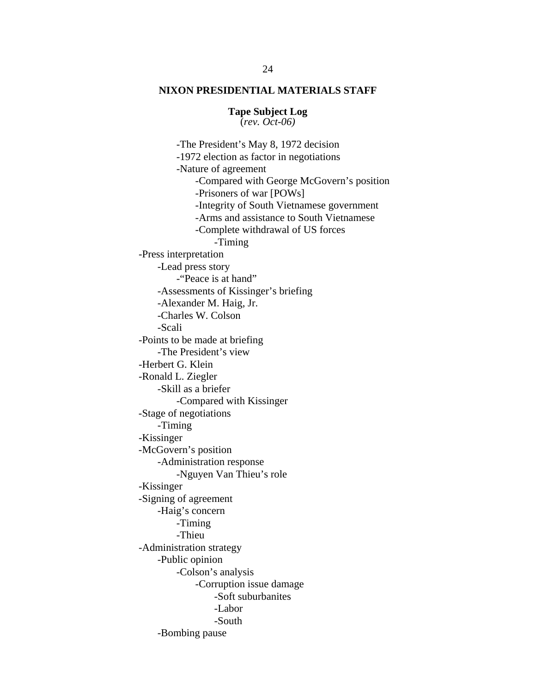**Tape Subject Log**

(*rev. Oct-06)*

 -The President's May 8, 1972 decision -1972 election as factor in negotiations -Nature of agreement -Compared with George McGovern's position -Prisoners of war [POWs] -Integrity of South Vietnamese government -Arms and assistance to South Vietnamese -Complete withdrawal of US forces -Timing -Press interpretation -Lead press story -"Peace is at hand" -Assessments of Kissinger's briefing -Alexander M. Haig, Jr. -Charles W. Colson -Scali -Points to be made at briefing -The President's view -Herbert G. Klein -Ronald L. Ziegler -Skill as a briefer -Compared with Kissinger -Stage of negotiations -Timing -Kissinger -McGovern's position -Administration response -Nguyen Van Thieu's role -Kissinger -Signing of agreement -Haig's concern -Timing -Thieu -Administration strategy -Public opinion -Colson's analysis -Corruption issue damage -Soft suburbanites -Labor -South -Bombing pause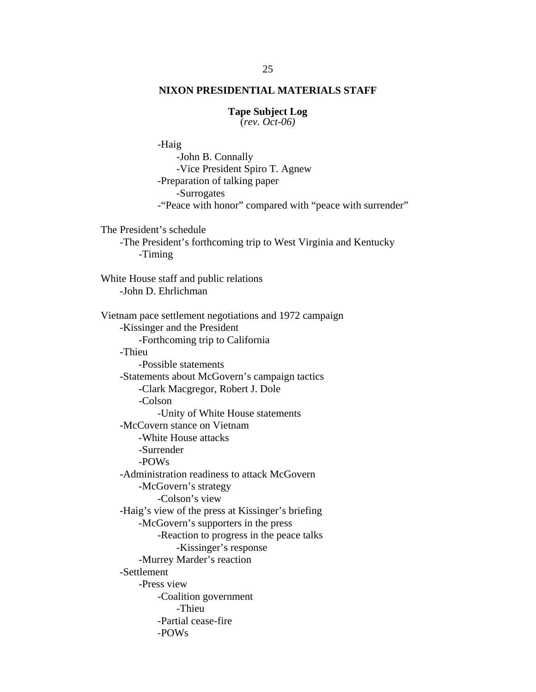# **Tape Subject Log**

(*rev. Oct-06)*

-Haig

 -John B. Connally -Vice President Spiro T. Agnew -Preparation of talking paper -Surrogates -"Peace with honor" compared with "peace with surrender"

The President's schedule

 -The President's forthcoming trip to West Virginia and Kentucky -Timing

 White House staff and public relations -John D. Ehrlichman

 Vietnam pace settlement negotiations and 1972 campaign -Kissinger and the President -Forthcoming trip to California -Thieu -Possible statements -Statements about McGovern's campaign tactics -Clark Macgregor, Robert J. Dole -Colson -Unity of White House statements -McCovern stance on Vietnam -White House attacks -Surrender -POWs -Administration readiness to attack McGovern -McGovern's strategy -Colson's view -Haig's view of the press at Kissinger's briefing -McGovern's supporters in the press -Reaction to progress in the peace talks -Kissinger's response -Murrey Marder's reaction -Settlement -Press view -Coalition government -Thieu -Partial cease-fire -POWs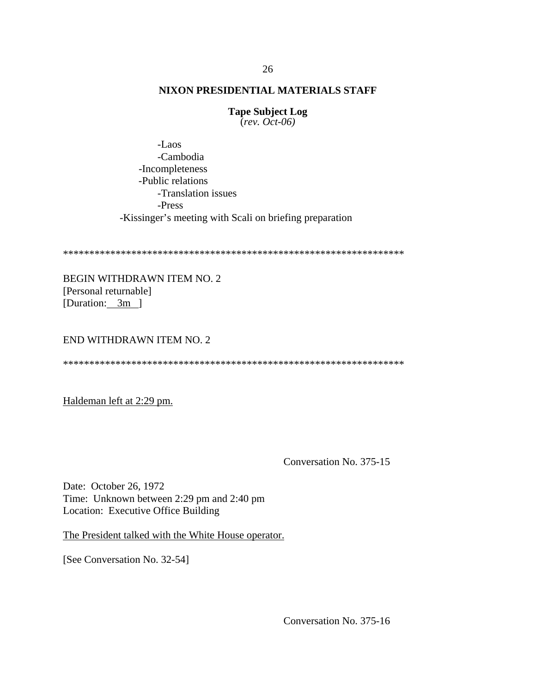**Tape Subject Log**  $\text{(\textit{rev. Oct-06})}$ 

-Laos -Cambodia -Incompleteness -Public relations -Translation issues -Press -Kissinger's meeting with Scali on briefing preparation

**BEGIN WITHDRAWN ITEM NO. 2** [Personal returnable] [Duration: 3m ]

#### END WITHDRAWN ITEM NO. 2

Haldeman left at 2:29 pm.

Conversation No. 375-15

Date: October 26, 1972 Time: Unknown between 2:29 pm and 2:40 pm Location: Executive Office Building

The President talked with the White House operator.

[See Conversation No. 32-54]

Conversation No. 375-16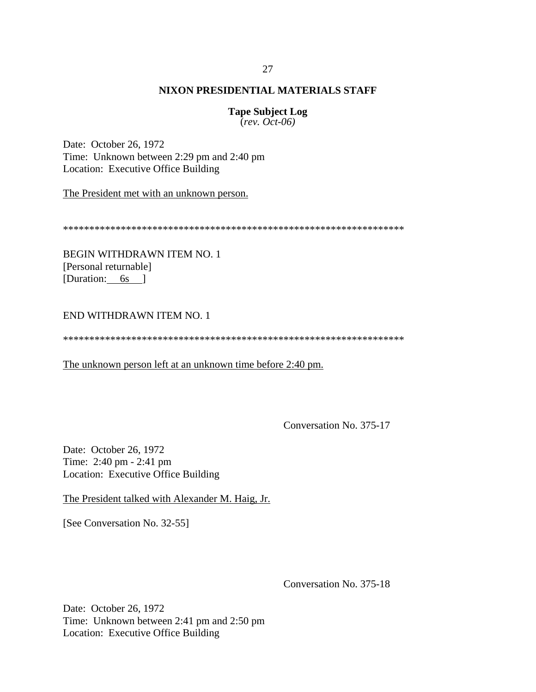**Tape Subject Log** (*rev. Oct-06)*

Date: October 26, 1972 Time: Unknown between 2:29 pm and 2:40 pm Location: Executive Office Building

The President met with an unknown person.

\*\*\*\*\*\*\*\*\*\*\*\*\*\*\*\*\*\*\*\*\*\*\*\*\*\*\*\*\*\*\*\*\*\*\*\*\*\*\*\*\*\*\*\*\*\*\*\*\*\*\*\*\*\*\*\*\*\*\*\*\*\*\*\*\*

BEGIN WITHDRAWN ITEM NO. 1 [Personal returnable] [Duration: 6s ]

#### END WITHDRAWN ITEM NO. 1

\*\*\*\*\*\*\*\*\*\*\*\*\*\*\*\*\*\*\*\*\*\*\*\*\*\*\*\*\*\*\*\*\*\*\*\*\*\*\*\*\*\*\*\*\*\*\*\*\*\*\*\*\*\*\*\*\*\*\*\*\*\*\*\*\*

The unknown person left at an unknown time before 2:40 pm.

Conversation No. 375-17

Date: October 26, 1972 Time: 2:40 pm - 2:41 pm Location: Executive Office Building

The President talked with Alexander M. Haig, Jr.

[See Conversation No. 32-55]

Conversation No. 375-18

Date: October 26, 1972 Time: Unknown between 2:41 pm and 2:50 pm Location: Executive Office Building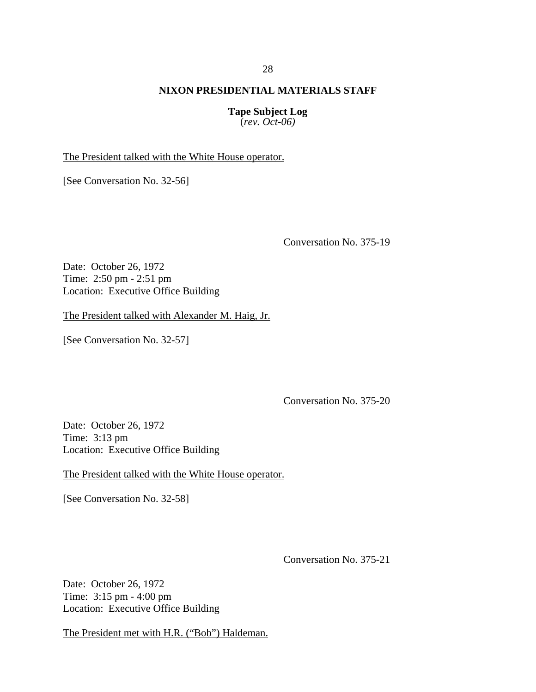**Tape Subject Log** (*rev. Oct-06)*

The President talked with the White House operator.

[See Conversation No. 32-56]

Conversation No. 375-19

Date: October 26, 1972 Time: 2:50 pm - 2:51 pm Location: Executive Office Building

The President talked with Alexander M. Haig, Jr.

[See Conversation No. 32-57]

Conversation No. 375-20

Date: October 26, 1972 Time: 3:13 pm Location: Executive Office Building

The President talked with the White House operator.

[See Conversation No. 32-58]

Conversation No. 375-21

Date: October 26, 1972 Time: 3:15 pm - 4:00 pm Location: Executive Office Building

The President met with H.R. ("Bob") Haldeman.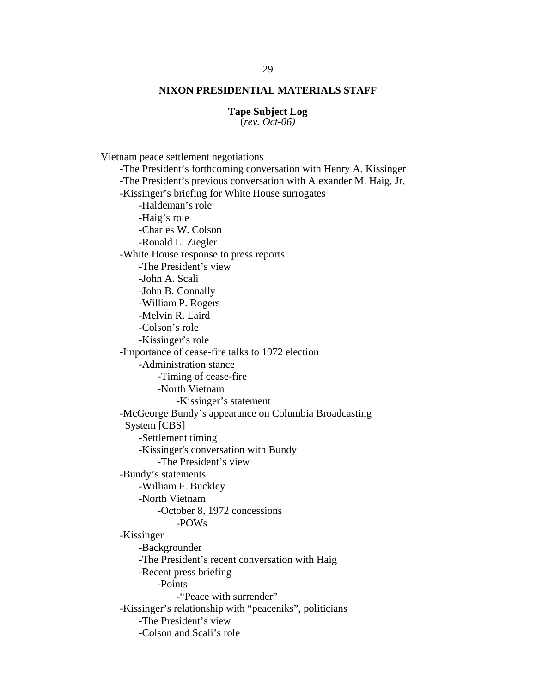**Tape Subject Log** (*rev. Oct-06)*

Vietnam peace settlement negotiations

 -The President's forthcoming conversation with Henry A. Kissinger -The President's previous conversation with Alexander M. Haig, Jr. -Kissinger's briefing for White House surrogates -Haldeman's role -Haig's role -Charles W. Colson -Ronald L. Ziegler -White House response to press reports -The President's view -John A. Scali -John B. Connally -William P. Rogers -Melvin R. Laird -Colson's role -Kissinger's role -Importance of cease-fire talks to 1972 election -Administration stance -Timing of cease-fire -North Vietnam -Kissinger's statement -McGeorge Bundy's appearance on Columbia Broadcasting System [CBS] -Settlement timing -Kissinger's conversation with Bundy -The President's view -Bundy's statements -William F. Buckley -North Vietnam -October 8, 1972 concessions -POWs -Kissinger -Backgrounder -The President's recent conversation with Haig -Recent press briefing -Points -"Peace with surrender" -Kissinger's relationship with "peaceniks", politicians -The President's view -Colson and Scali's role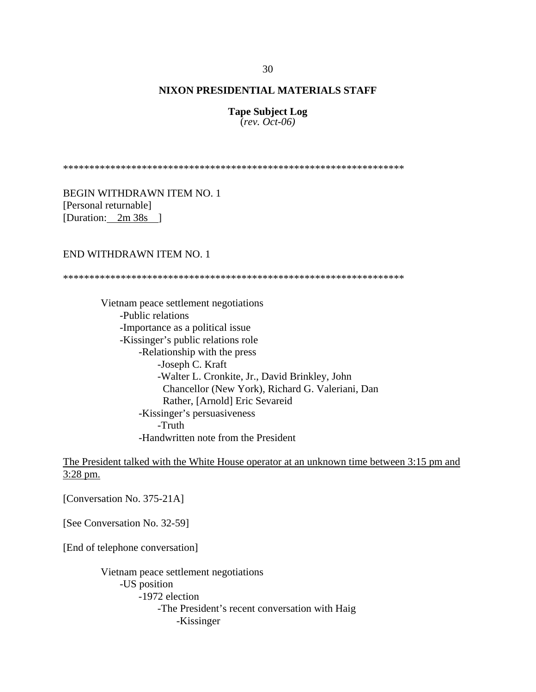**Tape Subject Log** (*rev. Oct-06)*

\*\*\*\*\*\*\*\*\*\*\*\*\*\*\*\*\*\*\*\*\*\*\*\*\*\*\*\*\*\*\*\*\*\*\*\*\*\*\*\*\*\*\*\*\*\*\*\*\*\*\*\*\*\*\*\*\*\*\*\*\*\*\*\*\*

BEGIN WITHDRAWN ITEM NO. 1 [Personal returnable] [Duration: 2m 38s ]

## END WITHDRAWN ITEM NO. 1

\*\*\*\*\*\*\*\*\*\*\*\*\*\*\*\*\*\*\*\*\*\*\*\*\*\*\*\*\*\*\*\*\*\*\*\*\*\*\*\*\*\*\*\*\*\*\*\*\*\*\*\*\*\*\*\*\*\*\*\*\*\*\*\*\*

Vietnam peace settlement negotiations -Public relations -Importance as a political issue -Kissinger's public relations role -Relationship with the press -Joseph C. Kraft -Walter L. Cronkite, Jr., David Brinkley, John Chancellor (New York), Richard G. Valeriani, Dan Rather, [Arnold] Eric Sevareid -Kissinger's persuasiveness -Truth -Handwritten note from the President

The President talked with the White House operator at an unknown time between 3:15 pm and 3:28 pm.

[Conversation No. 375-21A]

[See Conversation No. 32-59]

[End of telephone conversation]

Vietnam peace settlement negotiations -US position -1972 election -The President's recent conversation with Haig -Kissinger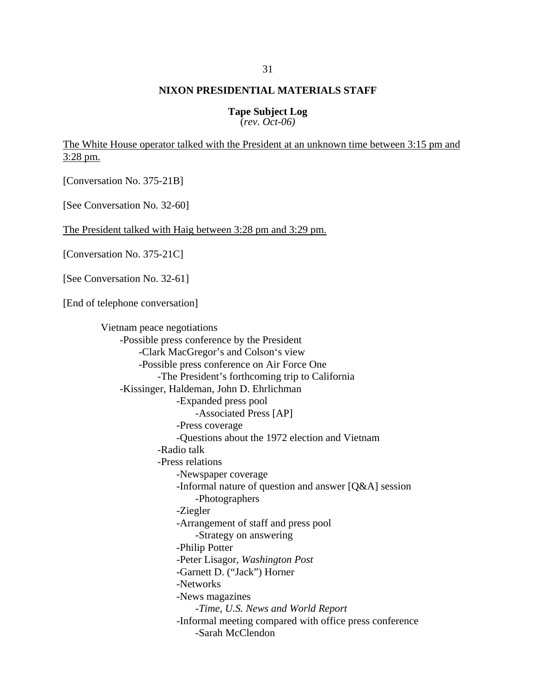**Tape Subject Log** (*rev. Oct-06)*

The White House operator talked with the President at an unknown time between 3:15 pm and 3:28 pm.

[Conversation No. 375-21B]

[See Conversation No. 32-60]

The President talked with Haig between 3:28 pm and 3:29 pm.

[Conversation No. 375-21C]

[See Conversation No. 32-61]

[End of telephone conversation]

Vietnam peace negotiations -Possible press conference by the President -Clark MacGregor's and Colson's view -Possible press conference on Air Force One -The President's forthcoming trip to California -Kissinger, Haldeman, John D. Ehrlichman -Expanded press pool -Associated Press [AP] -Press coverage -Questions about the 1972 election and Vietnam -Radio talk -Press relations -Newspaper coverage -Informal nature of question and answer [Q&A] session -Photographers -Ziegler -Arrangement of staff and press pool -Strategy on answering -Philip Potter -Peter Lisagor, *Washington Post*  -Garnett D. ("Jack") Horner -Networks -News magazines -*Time, U.S. News and World Report*  -Informal meeting compared with office press conference -Sarah McClendon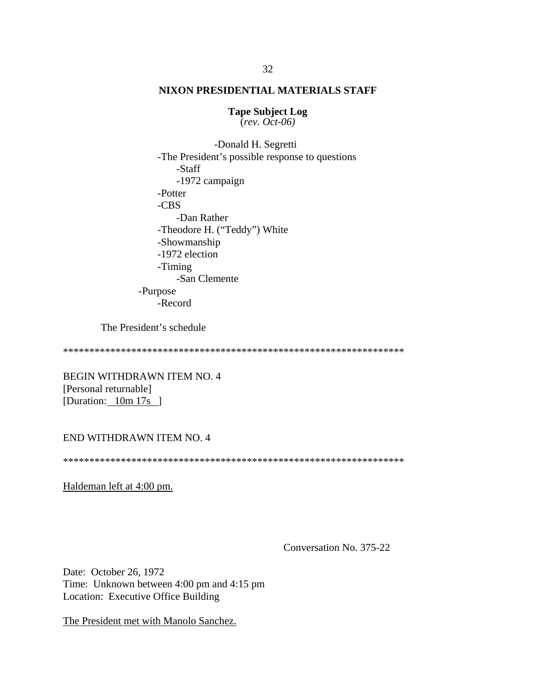**Tape Subject Log** (*rev. Oct-06)*

 -Donald H. Segretti -The President's possible response to questions -Staff -1972 campaign -Potter -CBS -Dan Rather -Theodore H. ("Teddy") White -Showmanship -1972 election -Timing -San Clemente -Purpose -Record

The President's schedule

\*\*\*\*\*\*\*\*\*\*\*\*\*\*\*\*\*\*\*\*\*\*\*\*\*\*\*\*\*\*\*\*\*\*\*\*\*\*\*\*\*\*\*\*\*\*\*\*\*\*\*\*\*\*\*\*\*\*\*\*\*\*\*\*\*

BEGIN WITHDRAWN ITEM NO. 4 [Personal returnable] [Duration: 10m 17s ]

## END WITHDRAWN ITEM NO. 4

\*\*\*\*\*\*\*\*\*\*\*\*\*\*\*\*\*\*\*\*\*\*\*\*\*\*\*\*\*\*\*\*\*\*\*\*\*\*\*\*\*\*\*\*\*\*\*\*\*\*\*\*\*\*\*\*\*\*\*\*\*\*\*\*\*

Haldeman left at 4:00 pm.

Conversation No. 375-22

Date: October 26, 1972 Time: Unknown between 4:00 pm and 4:15 pm Location: Executive Office Building

The President met with Manolo Sanchez.